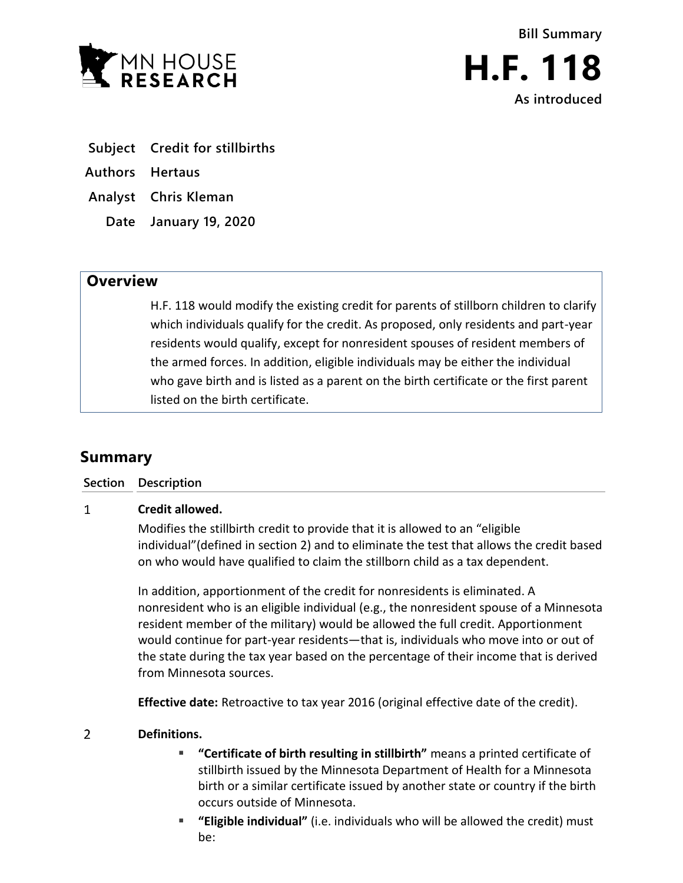

- **Subject Credit for stillbirths**
- **Authors Hertaus**
- **Analyst Chris Kleman**
	- **Date January 19, 2020**

## **Overview**

H.F. 118 would modify the existing credit for parents of stillborn children to clarify which individuals qualify for the credit. As proposed, only residents and part-year residents would qualify, except for nonresident spouses of resident members of the armed forces. In addition, eligible individuals may be either the individual who gave birth and is listed as a parent on the birth certificate or the first parent listed on the birth certificate.

## **Summary**

| Section Description |
|---------------------|
|                     |

## $\mathbf{1}$ **Credit allowed.**

Modifies the stillbirth credit to provide that it is allowed to an "eligible individual"(defined in section 2) and to eliminate the test that allows the credit based on who would have qualified to claim the stillborn child as a tax dependent.

In addition, apportionment of the credit for nonresidents is eliminated. A nonresident who is an eligible individual (e.g., the nonresident spouse of a Minnesota resident member of the military) would be allowed the full credit. Apportionment would continue for part-year residents—that is, individuals who move into or out of the state during the tax year based on the percentage of their income that is derived from Minnesota sources.

**Effective date:** Retroactive to tax year 2016 (original effective date of the credit).

## $\overline{2}$ **Definitions.**

- **"Certificate of birth resulting in stillbirth"** means a printed certificate of stillbirth issued by the Minnesota Department of Health for a Minnesota birth or a similar certificate issued by another state or country if the birth occurs outside of Minnesota.
- **"Eligible individual"** (i.e. individuals who will be allowed the credit) must be: